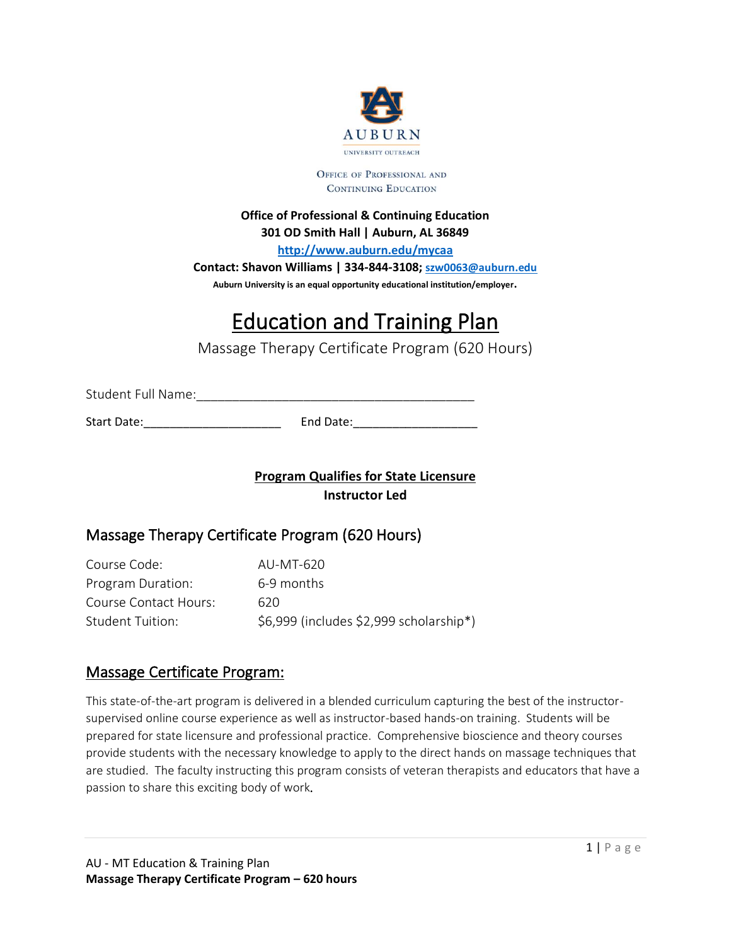

OFFICE OF PROFESSIONAL AND CONTINUING EDUCATION

#### **Office of Professional & Continuing Education 301 OD Smith Hall | Auburn, AL 36849**

**<http://www.auburn.edu/mycaa>**

**Contact: Shavon Williams | 334-844-3108; [szw0063@auburn.edu](mailto:szw0063@auburn.edu)** 

**Auburn University is an equal opportunity educational institution/employer.** 

# Education and Training Plan

Massage Therapy Certificate Program (620 Hours)

Student Full Name:\_\_\_\_\_\_\_\_\_\_\_\_\_\_\_\_\_\_\_\_\_\_\_\_\_\_\_\_\_\_\_\_\_\_\_\_\_\_\_

Start Date: example and Date:

**Program Qualifies for State Licensure Instructor Led** 

# Massage Therapy Certificate Program (620 Hours)

Course Code: AU-MT-620 Program Duration: 6-9 months Course Contact Hours: 620 Student Tuition:  $$6,999$  (includes \$2,999 scholarship\*)

# Massage Certificate Program:

This state-of-the-art program is delivered in a blended curriculum capturing the best of the instructorsupervised online course experience as well as instructor-based hands-on training. Students will be prepared for state licensure and professional practice. Comprehensive bioscience and theory courses provide students with the necessary knowledge to apply to the direct hands on massage techniques that are studied. The faculty instructing this program consists of veteran therapists and educators that have a passion to share this exciting body of work.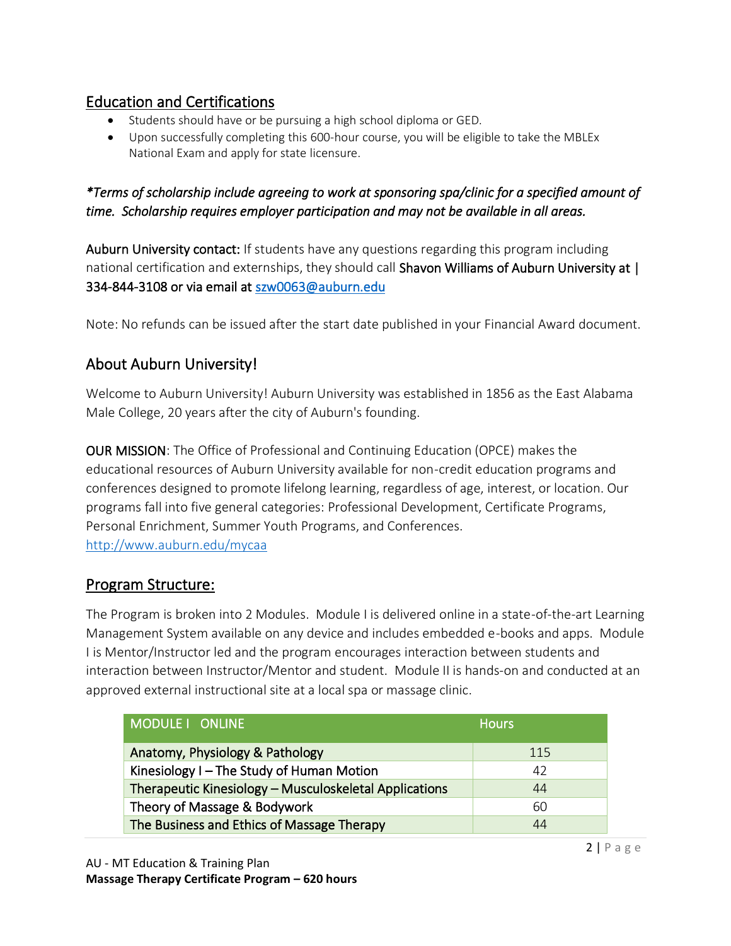# Education and Certifications

- Students should have or be pursuing a high school diploma or GED.
- Upon successfully completing this 600-hour course, you will be eligible to take the MBLEx National Exam and apply for state licensure.

## *\*Terms of scholarship include agreeing to work at sponsoring spa/clinic for a specified amount of time. Scholarship requires employer participation and may not be available in all areas.*

Auburn University contact: If students have any questions regarding this program including national certification and externships, they should call Shavon Williams of Auburn University at | 334-844-3108 or via email at [szw0063@auburn.edu](mailto:szw0063@auburn.edu) 

Note: No refunds can be issued after the start date published in your Financial Award document.

# About Auburn University!

Welcome to Auburn University! Auburn University was established in 1856 as the East Alabama Male College, 20 years after the city of Auburn's founding.

OUR MISSION: The Office of Professional and Continuing Education (OPCE) makes the educational resources of Auburn University available for non-credit education programs and conferences designed to promote lifelong learning, regardless of age, interest, or location. Our programs fall into five general categories: Professional Development, Certificate Programs, Personal Enrichment, Summer Youth Programs, and Conferences. <http://www.auburn.edu/mycaa>

# Program Structure:

The Program is broken into 2 Modules. Module I is delivered online in a state-of-the-art Learning Management System available on any device and includes embedded e-books and apps. Module I is Mentor/Instructor led and the program encourages interaction between students and interaction between Instructor/Mentor and student. Module II is hands-on and conducted at an approved external instructional site at a local spa or massage clinic.

| MODULE I ONLINE                                        | <b>Hours</b> |
|--------------------------------------------------------|--------------|
| Anatomy, Physiology & Pathology                        | 115          |
| Kinesiology I - The Study of Human Motion              | 42           |
| Therapeutic Kinesiology - Musculoskeletal Applications | 44           |
| Theory of Massage & Bodywork                           | 60           |
| The Business and Ethics of Massage Therapy             | 44           |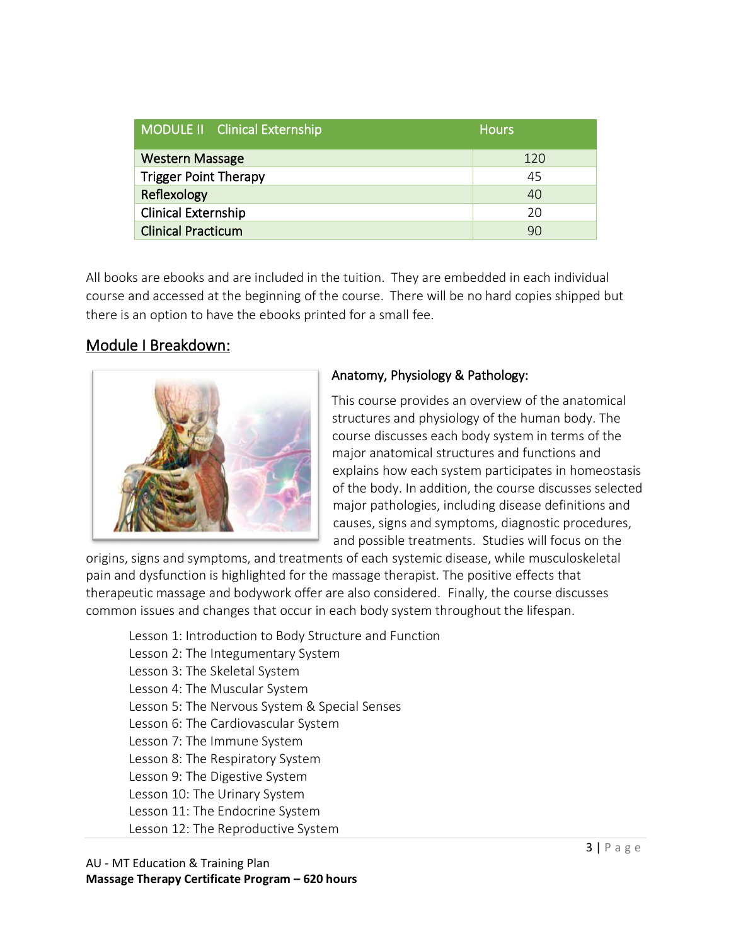| MODULE II Clinical Externship | <b>Hours</b> |
|-------------------------------|--------------|
| <b>Western Massage</b>        | 120          |
| <b>Trigger Point Therapy</b>  | 45           |
| Reflexology                   | 40           |
| <b>Clinical Externship</b>    | 20           |
| <b>Clinical Practicum</b>     | 90           |

All books are ebooks and are included in the tuition. They are embedded in each individual course and accessed at the beginning of the course. There will be no hard copies shipped but there is an option to have the ebooks printed for a small fee.

## Module I Breakdown:



## Anatomy, Physiology & Pathology:

This course provides an overview of the anatomical structures and physiology of the human body. The course discusses each body system in terms of the major anatomical structures and functions and explains how each system participates in homeostasis of the body. In addition, the course discusses selected major pathologies, including disease definitions and causes, signs and symptoms, diagnostic procedures, and possible treatments. Studies will focus on the

origins, signs and symptoms, and treatments of each systemic disease, while musculoskeletal pain and dysfunction is highlighted for the massage therapist. The positive effects that therapeutic massage and bodywork offer are also considered. Finally, the course discusses common issues and changes that occur in each body system throughout the lifespan.

Lesson 1: Introduction to Body Structure and Function

- Lesson 2: The Integumentary System
- Lesson 3: The Skeletal System
- Lesson 4: The Muscular System
- Lesson 5: The Nervous System & Special Senses
- Lesson 6: The Cardiovascular System
- Lesson 7: The Immune System
- Lesson 8: The Respiratory System
- Lesson 9: The Digestive System
- Lesson 10: The Urinary System
- Lesson 11: The Endocrine System
- Lesson 12: The Reproductive System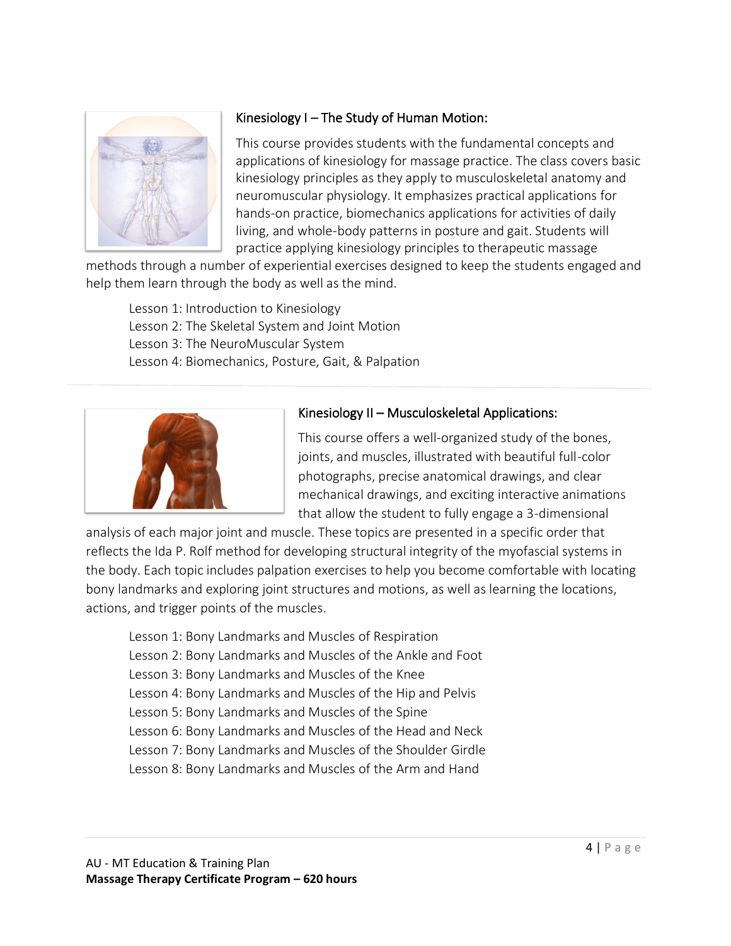

## Kinesiology I – The Study of Human Motion:

This course provides students with the fundamental concepts and applications of kinesiology for massage practice. The class covers basic kinesiology principles as they apply to musculoskeletal anatomy and neuromuscular physiology. It emphasizes practical applications for hands-on practice, biomechanics applications for activities of daily living, and whole-body patterns in posture and gait. Students will practice applying kinesiology principles to therapeutic massage

methods through a number of experiential exercises designed to keep the students engaged and help them learn through the body as well as the mind.

Lesson 1: Introduction to Kinesiology Lesson 2: The Skeletal System and Joint Motion Lesson 3: The NeuroMuscular System Lesson 4: Biomechanics, Posture, Gait, & Palpation



## Kinesiology II – Musculoskeletal Applications:

This course offers a well-organized study of the bones, joints, and muscles, illustrated with beautiful full-color photographs, precise anatomical drawings, and clear mechanical drawings, and exciting interactive animations that allow the student to fully engage a 3-dimensional

analysis of each major joint and muscle. These topics are presented in a specific order that reflects the Ida P. Rolf method for developing structural integrity of the myofascial systems in the body. Each topic includes palpation exercises to help you become comfortable with locating bony landmarks and exploring joint structures and motions, as well as learning the locations, actions, and trigger points of the muscles.

- Lesson 1: Bony Landmarks and Muscles of Respiration
- Lesson 2: Bony Landmarks and Muscles of the Ankle and Foot
- Lesson 3: Bony Landmarks and Muscles of the Knee
- Lesson 4: Bony Landmarks and Muscles of the Hip and Pelvis
- Lesson 5: Bony Landmarks and Muscles of the Spine
- Lesson 6: Bony Landmarks and Muscles of the Head and Neck
- Lesson 7: Bony Landmarks and Muscles of the Shoulder Girdle
- Lesson 8: Bony Landmarks and Muscles of the Arm and Hand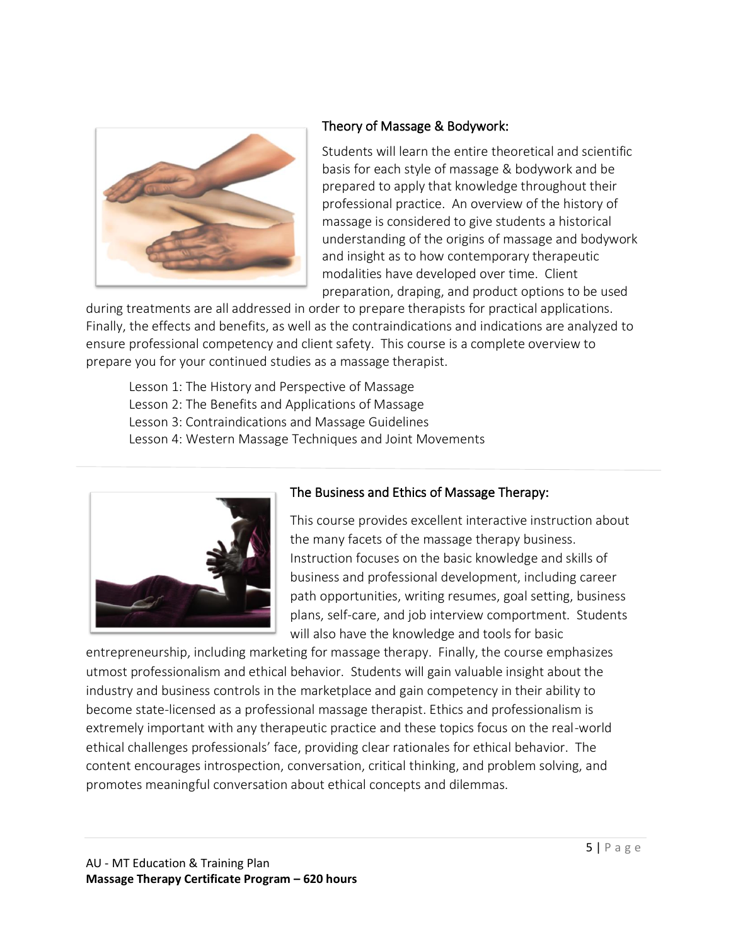

#### Theory of Massage & Bodywork:

Students will learn the entire theoretical and scientific basis for each style of massage & bodywork and be prepared to apply that knowledge throughout their professional practice. An overview of the history of massage is considered to give students a historical understanding of the origins of massage and bodywork and insight as to how contemporary therapeutic modalities have developed over time. Client preparation, draping, and product options to be used

during treatments are all addressed in order to prepare therapists for practical applications. Finally, the effects and benefits, as well as the contraindications and indications are analyzed to ensure professional competency and client safety. This course is a complete overview to prepare you for your continued studies as a massage therapist.

Lesson 1: The History and Perspective of Massage Lesson 2: The Benefits and Applications of Massage Lesson 3: Contraindications and Massage Guidelines Lesson 4: Western Massage Techniques and Joint Movements



#### The Business and Ethics of Massage Therapy:

This course provides excellent interactive instruction about the many facets of the massage therapy business. Instruction focuses on the basic knowledge and skills of business and professional development, including career path opportunities, writing resumes, goal setting, business plans, self-care, and job interview comportment. Students will also have the knowledge and tools for basic

 ethical challenges professionals' face, providing clear rationales for ethical behavior. The entrepreneurship, including marketing for massage therapy. Finally, the course emphasizes utmost professionalism and ethical behavior. Students will gain valuable insight about the industry and business controls in the marketplace and gain competency in their ability to become state-licensed as a professional massage therapist. Ethics and professionalism is extremely important with any therapeutic practice and these topics focus on the real-world content encourages introspection, conversation, critical thinking, and problem solving, and promotes meaningful conversation about ethical concepts and dilemmas.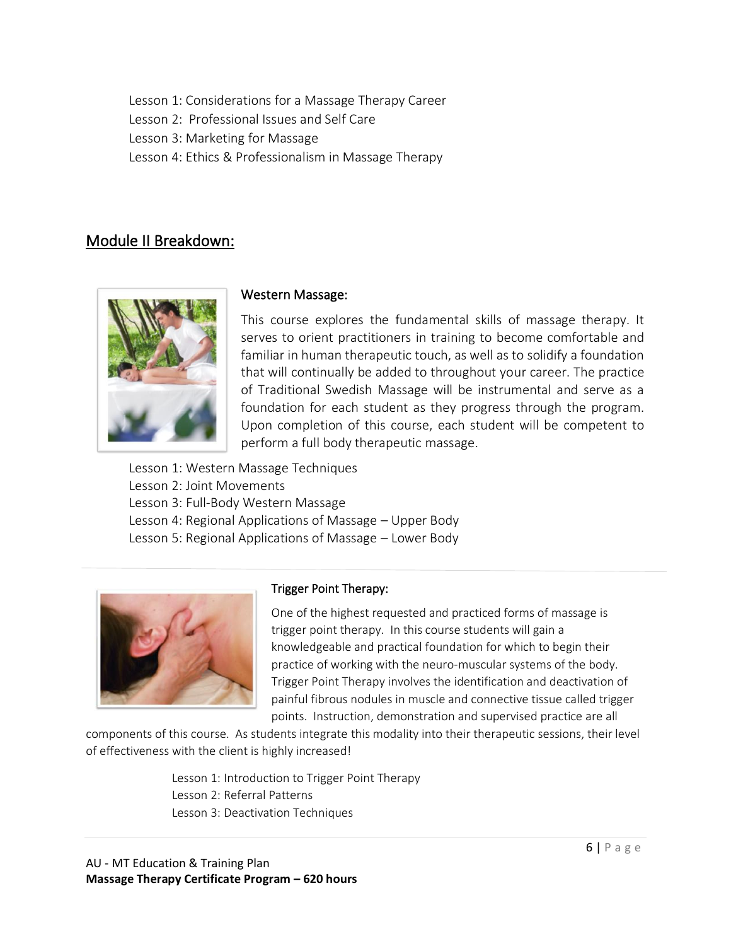Lesson 1: Considerations for a Massage Therapy Career

Lesson 2: Professional Issues and Self Care

Lesson 3: Marketing for Massage

Lesson 4: Ethics & Professionalism in Massage Therapy

# Module II Breakdown:



#### Western Massage:

This course explores the fundamental skills of massage therapy. It serves to orient practitioners in training to become comfortable and familiar in human therapeutic touch, as well as to solidify a foundation that will continually be added to throughout your career. The practice of Traditional Swedish Massage will be instrumental and serve as a foundation for each student as they progress through the program. Upon completion of this course, each student will be competent to perform a full body therapeutic massage.

Lesson 1: Western Massage Techniques Lesson 2: Joint Movements Lesson 3: Full-Body Western Massage Lesson 4: Regional Applications of Massage – Upper Body Lesson 5: Regional Applications of Massage – Lower Body



## Trigger Point Therapy:

One of the highest requested and practiced forms of massage is trigger point therapy. In this course students will gain a knowledgeable and practical foundation for which to begin their practice of working with the neuro-muscular systems of the body. Trigger Point Therapy involves the identification and deactivation of painful fibrous nodules in muscle and connective tissue called trigger points. Instruction, demonstration and supervised practice are all

components of this course. As students integrate this modality into their therapeutic sessions, their level of effectiveness with the client is highly increased!

> Lesson 1: Introduction to Trigger Point Therapy Lesson 2: Referral Patterns Lesson 3: Deactivation Techniques